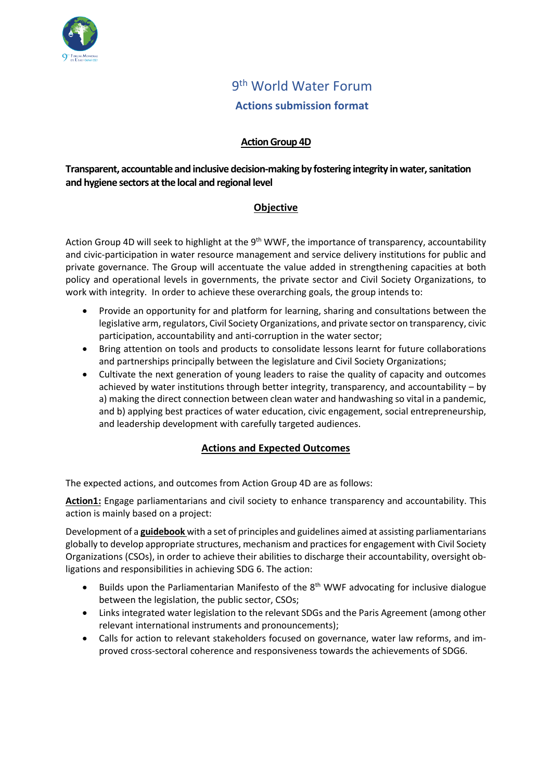

# 9<sup>th</sup> World Water Forum **Actions submission format**

# **Action Group 4D**

# **Transparent, accountable and inclusive decision-making by fostering integrity in water, sanitation and hygiene sectors at the local and regional level**

# **Objective**

Action Group 4D will seek to highlight at the 9<sup>th</sup> WWF, the importance of transparency, accountability and civic-participation in water resource management and service delivery institutions for public and private governance. The Group will accentuate the value added in strengthening capacities at both policy and operational levels in governments, the private sector and Civil Society Organizations, to work with integrity. In order to achieve these overarching goals, the group intends to:

- Provide an opportunity for and platform for learning, sharing and consultations between the legislative arm, regulators, Civil Society Organizations, and private sector on transparency, civic participation, accountability and anti-corruption in the water sector;
- Bring attention on tools and products to consolidate lessons learnt for future collaborations and partnerships principally between the legislature and Civil Society Organizations;
- Cultivate the next generation of young leaders to raise the quality of capacity and outcomes achieved by water institutions through better integrity, transparency, and accountability – by a) making the direct connection between clean water and handwashing so vital in a pandemic, and b) applying best practices of water education, civic engagement, social entrepreneurship, and leadership development with carefully targeted audiences.

# **Actions and Expected Outcomes**

The expected actions, and outcomes from Action Group 4D are as follows:

**Action1:** Engage parliamentarians and civil society to enhance transparency and accountability. This action is mainly based on a project:

Development of a **guidebook** with a set of principles and guidelines aimed at assisting parliamentarians globally to develop appropriate structures, mechanism and practices for engagement with Civil Society Organizations (CSOs), in order to achieve their abilities to discharge their accountability, oversight obligations and responsibilities in achieving SDG 6. The action:

- Builds upon the Parliamentarian Manifesto of the 8<sup>th</sup> WWF advocating for inclusive dialogue between the legislation, the public sector, CSOs;
- Links integrated water legislation to the relevant SDGs and the Paris Agreement (among other relevant international instruments and pronouncements);
- Calls for action to relevant stakeholders focused on governance, water law reforms, and improved cross-sectoral coherence and responsiveness towards the achievements of SDG6.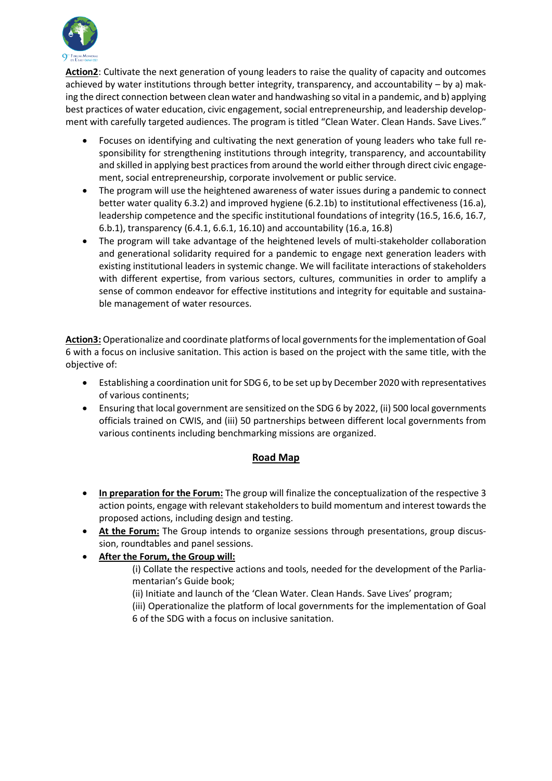

**Action2**: Cultivate the next generation of young leaders to raise the quality of capacity and outcomes achieved by water institutions through better integrity, transparency, and accountability – by a) making the direct connection between clean water and handwashing so vital in a pandemic, and b) applying best practices of water education, civic engagement, social entrepreneurship, and leadership development with carefully targeted audiences. The program is titled "Clean Water. Clean Hands. Save Lives."

- Focuses on identifying and cultivating the next generation of young leaders who take full responsibility for strengthening institutions through integrity, transparency, and accountability and skilled in applying best practices from around the world either through direct civic engagement, social entrepreneurship, corporate involvement or public service.
- The program will use the heightened awareness of water issues during a pandemic to connect better water quality 6.3.2) and improved hygiene (6.2.1b) to institutional effectiveness (16.a), leadership competence and the specific institutional foundations of integrity (16.5, 16.6, 16.7, 6.b.1), transparency (6.4.1, 6.6.1, 16.10) and accountability (16.a, 16.8)
- The program will take advantage of the heightened levels of multi-stakeholder collaboration and generational solidarity required for a pandemic to engage next generation leaders with existing institutional leaders in systemic change. We will facilitate interactions of stakeholders with different expertise, from various sectors, cultures, communities in order to amplify a sense of common endeavor for effective institutions and integrity for equitable and sustainable management of water resources.

**Action3:** Operationalize and coordinate platforms of local governments for the implementation of Goal 6 with a focus on inclusive sanitation. This action is based on the project with the same title, with the objective of:

- Establishing a coordination unit for SDG 6, to be set up by December 2020 with representatives of various continents;
- Ensuring that local government are sensitized on the SDG 6 by 2022, (ii) 500 local governments officials trained on CWIS, and (iii) 50 partnerships between different local governments from various continents including benchmarking missions are organized.

# **Road Map**

- **In preparation for the Forum:** The group will finalize the conceptualization of the respective 3 action points, engage with relevant stakeholders to build momentum and interest towards the proposed actions, including design and testing.
- **At the Forum:** The Group intends to organize sessions through presentations, group discussion, roundtables and panel sessions.
- **After the Forum, the Group will:**
	- (i) Collate the respective actions and tools, needed for the development of the Parliamentarian's Guide book;
	- (ii) Initiate and launch of the 'Clean Water. Clean Hands. Save Lives' program;
	- (iii) Operationalize the platform of local governments for the implementation of Goal 6 of the SDG with a focus on inclusive sanitation.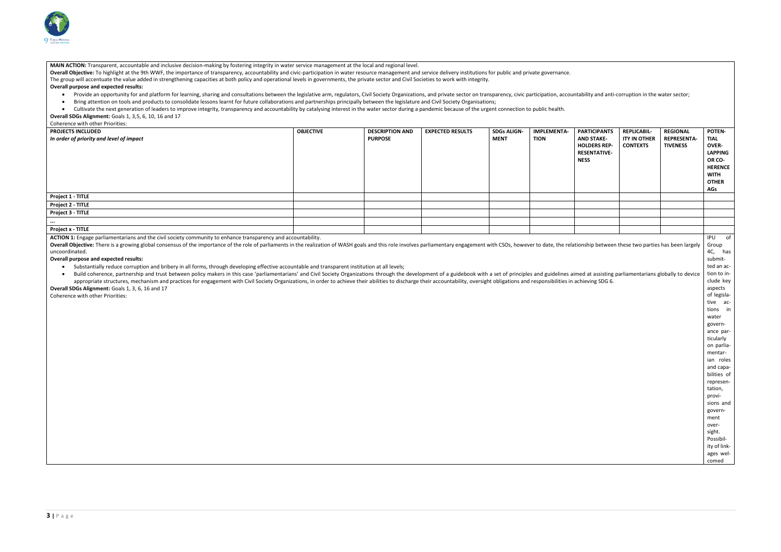

**MAIN ACTION:** Transparent, accountable and inclusive decision-making by fostering integrity in water service management at the local and regional level.

**Overall Objective:** To highlight at the 9th WWF, the importance of transparency, accountability and civic-participation in water resource management and service delivery institutions for public and private governance. The group will accentuate the value added in strengthening capacities at both policy and operational levels in governments, the private sector and Civil Societies to work with integrity.

#### **Overall purpose and expected results:**

- . Provide an opportunity for and platform for learning, sharing and consultations between the legislative arm, regulators, Civil Society Organizations, and private sector on transparency, civic participation, accountabilit
- Bring attention on tools and products to consolidate lessons learnt for future collaborations and partnerships principally between the legislature and Civil Society Organisations;
- Cultivate the next generation of leaders to improve integrity, transparency and accountability by catalysing interest in the water sector during a pandemic because of the urgent connection to public health.

Overall Objective: There is a growing global consensus of the importance of the role of parliaments in the realization of WASH goals and this role involves parliamentary engagement with CSOs, however to date, the relations uncoordinated.

**Overall SDGs Alignment:** Goals 1, 3,5, 6, 10, 16 and 17

#### Coherence with other Priorities:

• Build coherence, partnership and trust between policy makers in this case 'parliamentarians' and Civil Society Organizations through the development of a guidebook with a set of principles and guidelines aimed at appropriate structures, mechanism and practices for engagement with Civil Society Organizations, in order to achieve their abilities to discharge their accountability, oversight obligations and responsibilities in achievi **Overall SDGs Alignment:** Goals 1, 3, 6, 16 and 17

| <b>PROJECTS INCLUDED</b>                 | <b>OBJECTIVE</b> | <b>DESCRIPTION AND</b> | <b>EXPECTED RESULTS</b> | <b>SDGs ALIGN-</b> | <b>IMPLEMENTA-</b> | <b>PART</b>  |
|------------------------------------------|------------------|------------------------|-------------------------|--------------------|--------------------|--------------|
| In order of priority and level of impact |                  | <b>PURPOSE</b>         |                         | MENT               | <b>TION</b>        | <b>AND</b>   |
|                                          |                  |                        |                         |                    |                    | <b>HOLD</b>  |
|                                          |                  |                        |                         |                    |                    | <b>RESEI</b> |
|                                          |                  |                        |                         |                    |                    | <b>NESS</b>  |
|                                          |                  |                        |                         |                    |                    |              |
|                                          |                  |                        |                         |                    |                    |              |
|                                          |                  |                        |                         |                    |                    |              |
|                                          |                  |                        |                         |                    |                    |              |
| Project 1 - TITLE                        |                  |                        |                         |                    |                    |              |
| Project 2 - TITLE                        |                  |                        |                         |                    |                    |              |
| Project 3 - TITLE                        |                  |                        |                         |                    |                    |              |
| $\cdots$                                 |                  |                        |                         |                    |                    |              |
| <b>Project x - TITLE</b>                 |                  |                        |                         |                    |                    |              |

**ACTION 1:** Engage parliamentarians and the civil society community to enhance transparency and accountability.

#### **Overall purpose and expected results:**

• Substantially reduce corruption and bribery in all forms, through developing effective accountable and transparent institution at all levels;

|                                                                                                | tability and anti-corruption in the water sector;                                                         |                                                          |                                                                                                                                                                                                                                                                                                                                                                                                 |
|------------------------------------------------------------------------------------------------|-----------------------------------------------------------------------------------------------------------|----------------------------------------------------------|-------------------------------------------------------------------------------------------------------------------------------------------------------------------------------------------------------------------------------------------------------------------------------------------------------------------------------------------------------------------------------------------------|
| <b>PARTICIPANTS</b><br>AND STAKE-<br><b>HOLDERS REP-</b><br><b>RESENTATIVE-</b><br><b>NESS</b> | <b>REPLICABIL-</b><br><b>ITY IN OTHER</b><br><b>CONTEXTS</b>                                              | <b>REGIONAL</b><br><b>REPRESENTA-</b><br><b>TIVENESS</b> | <b>POTEN-</b><br><b>TIAL</b><br><b>OVER-</b><br><b>LAPPING</b><br>OR CO-<br><b>HERENCE</b><br><b>WITH</b><br><b>OTHER</b><br>AGs                                                                                                                                                                                                                                                                |
|                                                                                                |                                                                                                           |                                                          |                                                                                                                                                                                                                                                                                                                                                                                                 |
|                                                                                                |                                                                                                           |                                                          |                                                                                                                                                                                                                                                                                                                                                                                                 |
|                                                                                                |                                                                                                           |                                                          |                                                                                                                                                                                                                                                                                                                                                                                                 |
|                                                                                                |                                                                                                           |                                                          |                                                                                                                                                                                                                                                                                                                                                                                                 |
|                                                                                                |                                                                                                           |                                                          |                                                                                                                                                                                                                                                                                                                                                                                                 |
| chieving SDG 6.                                                                                | onship between these two parties has been largely<br>ned at assisting parliamentarians globally to device |                                                          | IPU<br>of<br>Group<br>4C, has<br>submit-<br>ted an ac-<br>tion to in-<br>clude key<br>aspects<br>of legisla-<br>tive ac-<br>tions<br>in<br>water<br>govern-<br>ance par-<br>ticularly<br>on parlia-<br>mentar-<br>ian roles<br>and capa-<br>bilities of<br>represen-<br>tation,<br>provi-<br>sions and<br>govern-<br>ment<br>over-<br>sight.<br>Possibil-<br>ity of link-<br>ages wel-<br>comed |

Coherence with other Priorities: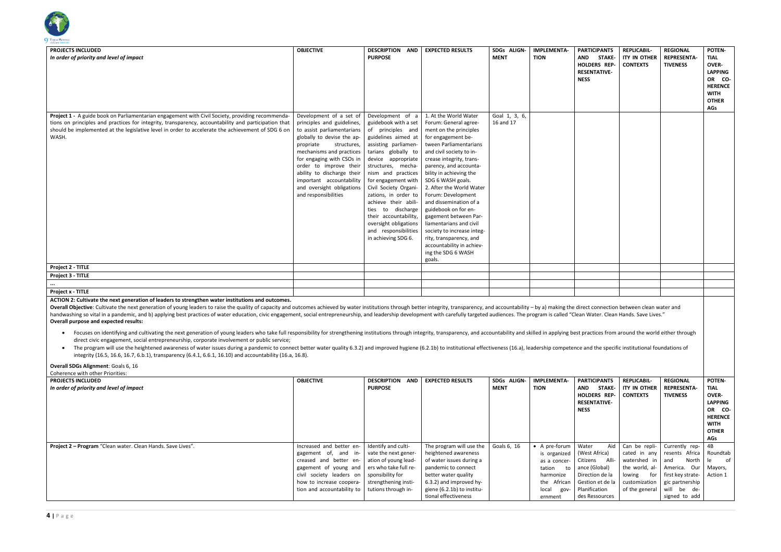

| <b>PROJECTS INCLUDED</b><br>In order of priority and level of impact                                                                                                                                                                                                                                                   | <b>OBJECTIVE</b>                                                                                                                                                                                                                                                                                                                                | <b>DESCRIPTION</b><br><b>AND</b><br><b>PURPOSE</b>                                                                                                                                                                                                                                                                                                                                                                             | <b>EXPECTED RESULTS</b>                                                                                                                                                                                                                                                                                                                                                                                                                                                                                                                  | SDGs ALIGN-<br><b>MENT</b> | <b>IMPLEMENTA-</b><br><b>TION</b> | <b>PARTI</b><br><b>AND</b><br><b>HOLD</b><br><b>RESEN</b><br><b>NESS</b> |
|------------------------------------------------------------------------------------------------------------------------------------------------------------------------------------------------------------------------------------------------------------------------------------------------------------------------|-------------------------------------------------------------------------------------------------------------------------------------------------------------------------------------------------------------------------------------------------------------------------------------------------------------------------------------------------|--------------------------------------------------------------------------------------------------------------------------------------------------------------------------------------------------------------------------------------------------------------------------------------------------------------------------------------------------------------------------------------------------------------------------------|------------------------------------------------------------------------------------------------------------------------------------------------------------------------------------------------------------------------------------------------------------------------------------------------------------------------------------------------------------------------------------------------------------------------------------------------------------------------------------------------------------------------------------------|----------------------------|-----------------------------------|--------------------------------------------------------------------------|
| Project 1 - A guide book on Parliamentarian engagement with Civil Society, providing recommenda-<br>tions on principles and practices for integrity, transparency, accountability and participation that<br>should be implemented at the legislative level in order to accelerate the achievement of SDG 6 on<br>WASH. | Development of a set of<br>principles and guidelines,<br>to assist parliamentarians<br>globally to devise the ap-<br>propriate<br>structures,<br>mechanisms and practices<br>for engaging with CSOs in<br>order to improve their<br>ability to discharge their<br>important accountability<br>and oversight obligations<br>and responsibilities | Development of a<br>guidebook with a set<br>of principles and<br>guidelines aimed at<br>assisting parliamen-<br>tarians globally to<br>device appropriate<br>structures, mecha-<br>nism and practices<br>for engagement with<br>Civil Society Organi-<br>zations, in order to<br>achieve their abili-<br>to discharge<br>ties<br>their accountability,<br>oversight obligations<br>and responsibilities<br>in achieving SDG 6. | 1. At the World Water<br>Forum: General agree-<br>ment on the principles<br>for engagement be-<br>tween Parliamentarians<br>and civil society to in-<br>crease integrity, trans-<br>parency, and accounta-<br>bility in achieving the<br>SDG 6 WASH goals.<br>2. After the World Water<br>Forum: Development<br>and dissemination of a<br>guidebook on for en-<br>gagement between Par-<br>liamentarians and civil<br>society to increase integ-<br>rity, transparency, and<br>accountability in achiev-<br>ing the SDG 6 WASH<br>goals. | Goal 1, 3, 6,<br>16 and 17 |                                   |                                                                          |
| Project 2 - TITLE                                                                                                                                                                                                                                                                                                      |                                                                                                                                                                                                                                                                                                                                                 |                                                                                                                                                                                                                                                                                                                                                                                                                                |                                                                                                                                                                                                                                                                                                                                                                                                                                                                                                                                          |                            |                                   |                                                                          |
| Project 3 - TITLE                                                                                                                                                                                                                                                                                                      |                                                                                                                                                                                                                                                                                                                                                 |                                                                                                                                                                                                                                                                                                                                                                                                                                |                                                                                                                                                                                                                                                                                                                                                                                                                                                                                                                                          |                            |                                   |                                                                          |
|                                                                                                                                                                                                                                                                                                                        |                                                                                                                                                                                                                                                                                                                                                 |                                                                                                                                                                                                                                                                                                                                                                                                                                |                                                                                                                                                                                                                                                                                                                                                                                                                                                                                                                                          |                            |                                   |                                                                          |
| Project x - TITLE                                                                                                                                                                                                                                                                                                      |                                                                                                                                                                                                                                                                                                                                                 |                                                                                                                                                                                                                                                                                                                                                                                                                                |                                                                                                                                                                                                                                                                                                                                                                                                                                                                                                                                          |                            |                                   |                                                                          |
|                                                                                                                                                                                                                                                                                                                        |                                                                                                                                                                                                                                                                                                                                                 |                                                                                                                                                                                                                                                                                                                                                                                                                                |                                                                                                                                                                                                                                                                                                                                                                                                                                                                                                                                          |                            |                                   |                                                                          |

Overall Objective: Cultivate the next generation of young leaders to raise the quality of capacity and outcomes achieved by water institutions through better integrity, transparency, and accountability - by a) making the d handwashing so vital in a pandemic, and b) applying best practices of water education, civic engagement, social entrepreneurship, and leadership development with carefully targeted audiences. The program is called "Clean W **Overall purpose and expected results:**

- Focuses on identifying and cultivating the next generation of young leaders who take full responsibility for strengthening institutions through integrity, transparency, and accountability and skilled in applying best pra direct civic engagement, social entrepreneurship, corporate involvement or public service;
- The program will use the heightened awareness of water issues during a pandemic to connect better water quality 6.3.2) and improved hygiene (6.2.1b) to institutional effectiveness (16.a), leadership competence and integrity (16.5, 16.6, 16.7, 6.b.1), transparency (6.4.1, 6.6.1, 16.10) and accountability (16.a, 16.8).

**ACTION 2: Cultivate the next generation of leaders to strengthen water institutions and outcomes.** 

| PARTICIPANTS<br>AND<br><b>STAKE-</b><br><b>HOLDERS REP-</b><br><b>RESENTATIVE-</b><br><b>NESS</b>                                                                                         | <b>REPLICABIL-</b><br>ity in Other<br><b>CONTEXTS</b>                                                               | <b>REGIONAL</b><br><b>REPRESENTA-</b><br><b>TIVENESS</b>                                                                                       | <b>POTEN-</b><br><b>TIAL</b><br><b>OVER-</b><br><b>LAPPING</b><br>OR CO-<br><b>HERENCE</b><br><b>WITH</b><br><b>OTHER</b><br><b>AGs</b> |
|-------------------------------------------------------------------------------------------------------------------------------------------------------------------------------------------|---------------------------------------------------------------------------------------------------------------------|------------------------------------------------------------------------------------------------------------------------------------------------|-----------------------------------------------------------------------------------------------------------------------------------------|
|                                                                                                                                                                                           |                                                                                                                     |                                                                                                                                                |                                                                                                                                         |
|                                                                                                                                                                                           |                                                                                                                     |                                                                                                                                                |                                                                                                                                         |
|                                                                                                                                                                                           |                                                                                                                     |                                                                                                                                                |                                                                                                                                         |
|                                                                                                                                                                                           |                                                                                                                     |                                                                                                                                                |                                                                                                                                         |
|                                                                                                                                                                                           |                                                                                                                     |                                                                                                                                                |                                                                                                                                         |
| lirect connection between clean water and<br>ean Water. Clean Hands. Save Lives."<br>t practices from around the world either through<br>ce and the specific institutional foundations of |                                                                                                                     |                                                                                                                                                |                                                                                                                                         |
|                                                                                                                                                                                           |                                                                                                                     |                                                                                                                                                |                                                                                                                                         |
| <b>PARTICIPANTS</b><br><b>STAKE-</b><br>AND<br><b>HOLDERS REP-</b><br><b>RESENTATIVE-</b><br><b>NESS</b>                                                                                  | <b>REPLICABIL-</b><br><b>ITY IN OTHER</b><br><b>CONTEXTS</b>                                                        | <b>REGIONAL</b><br><b>REPRESENTA-</b><br><b>TIVENESS</b>                                                                                       | <b>POTEN-</b><br><b>TIAL</b><br><b>OVER-</b><br><b>LAPPING</b><br>OR<br>CO-<br><b>HERENCE</b><br><b>WITH</b><br><b>OTHER</b><br>AGs     |
| Aid<br>Water<br>(West Africa)<br>Alli-<br>Citizens<br>ance (Global)<br>Direction de la<br>Gestion et de la<br>Planification<br>des Ressources                                             | Can be repli-<br>cated in any<br>watershed in<br>the world, al-<br>for<br>lowing<br>customization<br>of the general | Currently rep-<br>resents Africa<br>North<br>and<br>America. Our<br>first key strate-<br>gic partnership<br>will<br>be<br>de-<br>signed to add | 4B<br>Roundtab<br>of<br>le<br>Mayors,<br>Action 1                                                                                       |

**Overall SDGs Alignment**: Goals 6, 16

| Coherence with other Priorities:                            |                                                                                                                                                                                           |                                                                                                                                                                 |                                                                                                                                                                                                              |             |                                                                                                                                  |                                                                                   |
|-------------------------------------------------------------|-------------------------------------------------------------------------------------------------------------------------------------------------------------------------------------------|-----------------------------------------------------------------------------------------------------------------------------------------------------------------|--------------------------------------------------------------------------------------------------------------------------------------------------------------------------------------------------------------|-------------|----------------------------------------------------------------------------------------------------------------------------------|-----------------------------------------------------------------------------------|
| <b>PROJECTS INCLUDED</b>                                    | <b>OBJECTIVE</b>                                                                                                                                                                          | <b>DESCRIPTION</b><br><b>AND</b>                                                                                                                                | <b>EXPECTED RESULTS</b>                                                                                                                                                                                      | SDGs ALIGN- | <b>IMPLEMENTA-</b>                                                                                                               | <b>PART</b>                                                                       |
| In order of priority and level of impact                    |                                                                                                                                                                                           | <b>PURPOSE</b>                                                                                                                                                  |                                                                                                                                                                                                              | <b>MENT</b> | <b>TION</b>                                                                                                                      | AND<br><b>HOLD</b><br><b>RESEI</b><br><b>NESS</b>                                 |
| Project 2 - Program "Clean water. Clean Hands. Save Lives". | Increased and better en-<br>gagement of, and in-<br>creased and better en-<br>gagement of young and<br>civil society leaders on<br>how to increase coopera-<br>tion and accountability to | Identify and culti-<br>vate the next gener-<br>ation of young lead-<br>ers who take full re-<br>sponsibility for<br>strengthening insti-<br>tutions through in- | The program will use the<br>heightened awareness<br>of water issues during a<br>pandemic to connect<br>better water quality<br>6.3.2) and improved hy-<br>giene (6.2.1b) to institu-<br>tional effectiveness | Goals 6, 16 | $\bullet$ A pre-forum<br>is organized<br>as a concer-<br>tation<br>to<br>harmonize<br>African<br>the<br>local<br>gov-<br>ernment | Wate<br>(West<br>Citize<br>ance<br>Direc <sup>®</sup><br>Gesti<br>Planif<br>des R |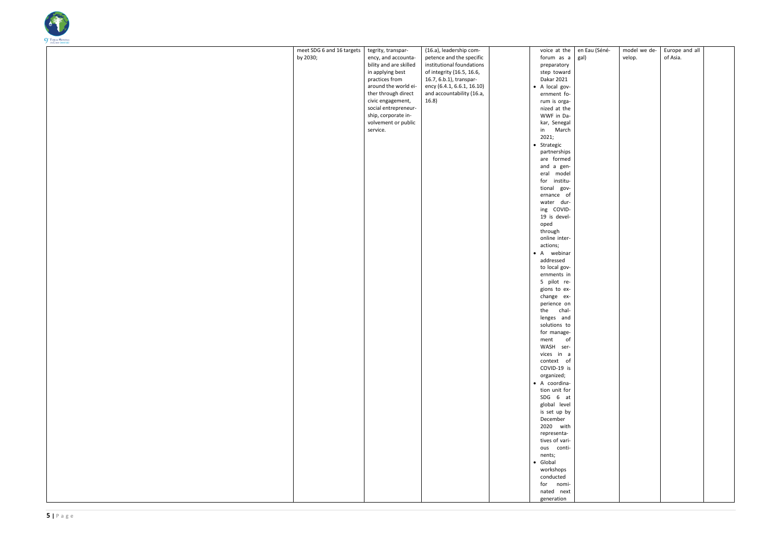

| meet SDG 6 and 16 targets<br>by 2030; | tegrity, transpar-<br>ency, and accounta-<br>bility and are skilled<br>in applying best<br>practices from<br>around the world ei-<br>ther through direct<br>civic engagement,<br>social entrepreneur-<br>ship, corporate in-<br>volvement or public<br>service. | (16.a), leadership com-<br>petence and the specific<br>institutional foundations<br>of integrity (16.5, 16.6,<br>16.7, 6.b.1), transpar-<br>ency (6.4.1, 6.6.1, 16.10)<br>and accountability (16.a,<br>16.8) | voice at the<br>forum as a<br>preparatory<br>step toward<br>Dakar 2021<br>• A local gov-<br>ernment fo-<br>rum is orga-<br>nized at the<br>WWF in Da-<br>kar, Senegal<br>March<br>in<br>2021;<br>• Strategic<br>partnerships<br>are formed<br>and a gen-<br>model<br>eral<br>institu-<br>for<br>gov-<br>tional<br>ernance of<br>water dur-<br>ing COVID-<br>19 is devel-<br>oped<br>through<br>online inter-<br>actions;<br>• A webinar<br>addressed<br>to local gov-<br>ernments in<br>5 pilot re-<br>gions to ex-<br>change ex-<br>perience on<br>chal-<br>the<br>lenges and<br>solutions to<br>for manage-<br>$\mathsf{of}$<br>$\mathop{\mathsf{ment}}$<br>WASH ser-<br>vices in a<br>context of<br>COVID-19 is<br>organized;<br>· A coordina-<br>tion unit for<br>SDG 6 at<br>global level<br>is set up by<br>December<br>2020 with<br>representa-<br>tives of vari-<br>ous conti-<br>nents; | en Eau<br>gal) |
|---------------------------------------|-----------------------------------------------------------------------------------------------------------------------------------------------------------------------------------------------------------------------------------------------------------------|--------------------------------------------------------------------------------------------------------------------------------------------------------------------------------------------------------------|--------------------------------------------------------------------------------------------------------------------------------------------------------------------------------------------------------------------------------------------------------------------------------------------------------------------------------------------------------------------------------------------------------------------------------------------------------------------------------------------------------------------------------------------------------------------------------------------------------------------------------------------------------------------------------------------------------------------------------------------------------------------------------------------------------------------------------------------------------------------------------------------------|----------------|
|                                       |                                                                                                                                                                                                                                                                 |                                                                                                                                                                                                              | $\bullet$ Global<br>workshops<br>conducted<br>for nomi-<br>nated next                                                                                                                                                                                                                                                                                                                                                                                                                                                                                                                                                                                                                                                                                                                                                                                                                            |                |
|                                       |                                                                                                                                                                                                                                                                 |                                                                                                                                                                                                              | generation                                                                                                                                                                                                                                                                                                                                                                                                                                                                                                                                                                                                                                                                                                                                                                                                                                                                                       |                |

| en Eau (Séné-<br>gal) | model we de-<br>velop. | Europe and all<br>of Asia. |  |
|-----------------------|------------------------|----------------------------|--|
|                       |                        |                            |  |
|                       |                        |                            |  |
|                       |                        |                            |  |
|                       |                        |                            |  |
|                       |                        |                            |  |
|                       |                        |                            |  |
|                       |                        |                            |  |
|                       |                        |                            |  |
|                       |                        |                            |  |
|                       |                        |                            |  |
|                       |                        |                            |  |
|                       |                        |                            |  |
|                       |                        |                            |  |
|                       |                        |                            |  |
|                       |                        |                            |  |
|                       |                        |                            |  |
|                       |                        |                            |  |
|                       |                        |                            |  |
|                       |                        |                            |  |
|                       |                        |                            |  |
|                       |                        |                            |  |
|                       |                        |                            |  |
|                       |                        |                            |  |
|                       |                        |                            |  |
|                       |                        |                            |  |
|                       |                        |                            |  |
|                       |                        |                            |  |
|                       |                        |                            |  |
|                       |                        |                            |  |
|                       |                        |                            |  |
|                       |                        |                            |  |
|                       |                        |                            |  |
|                       |                        |                            |  |
|                       |                        |                            |  |
|                       |                        |                            |  |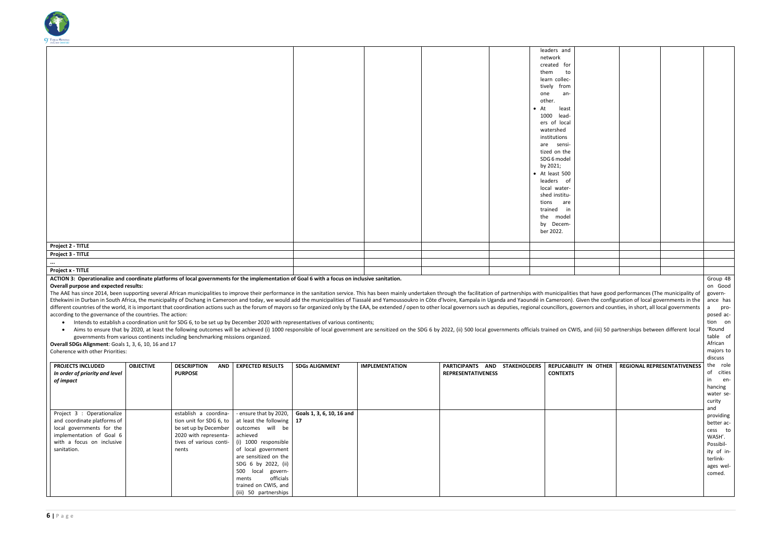

|                          |  |  | leaders and           |  |
|--------------------------|--|--|-----------------------|--|
|                          |  |  | network               |  |
|                          |  |  | created for           |  |
|                          |  |  | them<br>to            |  |
|                          |  |  | learn collec-         |  |
|                          |  |  | tively from           |  |
|                          |  |  | an-<br>one            |  |
|                          |  |  | other.                |  |
|                          |  |  | $\bullet$ At<br>least |  |
|                          |  |  | 1000 lead-            |  |
|                          |  |  | ers of local          |  |
|                          |  |  | watershed             |  |
|                          |  |  | institutions          |  |
|                          |  |  | are sensi-            |  |
|                          |  |  | tized on the          |  |
|                          |  |  | SDG 6 model           |  |
|                          |  |  | by 2021;              |  |
|                          |  |  | • At least 500        |  |
|                          |  |  | leaders of            |  |
|                          |  |  | local water-          |  |
|                          |  |  | shed institu-         |  |
|                          |  |  | tions<br>are          |  |
|                          |  |  | in<br>trained         |  |
|                          |  |  | the model             |  |
|                          |  |  | by Decem-             |  |
|                          |  |  | ber 2022.             |  |
|                          |  |  |                       |  |
| Project 2 - TITLE        |  |  |                       |  |
| Project 3 - TITLE        |  |  |                       |  |
| $\cdots$                 |  |  |                       |  |
| <b>Project x - TITLE</b> |  |  |                       |  |

#### **ACTION 3: Operationalize and coordinate platforms of local governments for the implementation of Goal 6 with a focus on inclusive sanitation.**

#### **Overall purpose and expected results:**

The AAE has since 2014, been supporting several African municipalities to improve their performance in the sanitation service. This has been mainly undertaken through the facilitation of partnerships with municipalities th Ethekwini in Durban in South Africa, the municipality of Dschang in Cameroon and today, we would add the municipalities of Tiassalé and Yamoussoukro in Côte d'Ivoire, Kampala in Uganda and Yaoundé in Cameroon). Given t different countries of the world, it is important that coordination actions such as the forum of mayors so far organized only by the EAA, be extended / open to other local governors such as deputies, regional councillors, according to the governance of the countries. The action:

- Intends to establish a coordination unit for SDG 6, to be set up by December 2020 with representatives of various continents;
- Aims to ensure that by 2020, at least the following outcomes will be achieved (i) 1000 responsible of local government are sensitized on the SDG 6 by 2022, (ii) 500 local governments officials trained on CWIS, and governments from various continents including benchmarking missions organized.

**Overall SDGs Alignment**: Goals 1, 3, 6, 10, 16 and 17 Coherence with other Priorities:

| <b>PROJECTS INCLUDED</b><br>In order of priority and level<br>of impact                                                                                        | <b>OBJECTIVE</b> | <b>DESCRIPTION</b><br>AND<br><b>PURPOSE</b>                                                                                            | <b>EXPECTED RESULTS</b>                                                                                                                                                                                                                                                           | <b>SDGs ALIGNMENT</b>           | <b>IMPLEMENTATION</b> | <b>PARTICIPANTS</b><br>AND<br><b>REPRESENTATIVENESS</b> | <b>STAKEHOLDERS</b><br><b>REPLICABILITY IN OTHER</b><br><b>CONTEXTS</b> |
|----------------------------------------------------------------------------------------------------------------------------------------------------------------|------------------|----------------------------------------------------------------------------------------------------------------------------------------|-----------------------------------------------------------------------------------------------------------------------------------------------------------------------------------------------------------------------------------------------------------------------------------|---------------------------------|-----------------------|---------------------------------------------------------|-------------------------------------------------------------------------|
| Project 3 : Operationalize<br>and coordinate platforms of<br>local governments for the<br>implementation of Goal 6<br>with a focus on inclusive<br>sanitation. |                  | establish a coordina-<br>tion unit for SDG 6, to<br>be set up by December<br>2020 with representa-<br>tives of various conti-<br>nents | - ensure that by 2020,<br>at least the following<br>outcomes will be<br>achieved<br>(i) 1000 responsible<br>of local government<br>are sensitized on the<br>SDG 6 by 2022, (ii)<br>500<br>local<br>govern-<br>officials<br>ments<br>trained on CWIS, and<br>(iii) 50 partnerships | Goals 1, 3, 6, 10, 16 and<br>17 |                       |                                                         |                                                                         |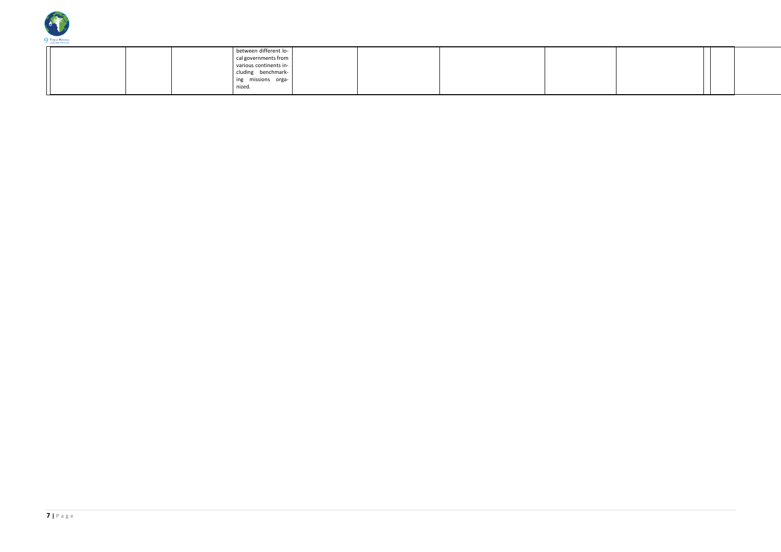

|  |  | between different lo-  |  |  |  |
|--|--|------------------------|--|--|--|
|  |  | cal governments from   |  |  |  |
|  |  | various continents in- |  |  |  |
|  |  | cluding benchmark-     |  |  |  |
|  |  | ing missions orga-     |  |  |  |
|  |  | nized.                 |  |  |  |
|  |  |                        |  |  |  |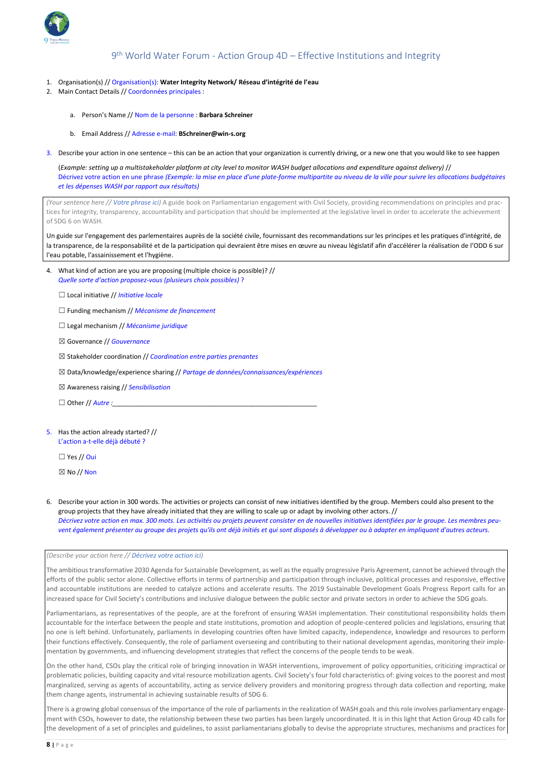

# 9 th World Water Forum - Action Group 4D – Effective Institutions and Integrity

- 1. Organisation(s) // Organisation(s): **Water Integrity Network/ Réseau d'intégrité de l'eau**
- 2. Main Contact Details // Coordonnées principales :
	- a. Person's Name // Nom de la personne : **Barbara Schreiner**
	- b. Email Address // Adresse e-mail: **BSchreiner@win-s.org**
- 3. Describe your action in one sentence this can be an action that your organization is currently driving, or a new one that you would like to see happen

(*Example: setting up a multistakeholder platform at city level to monitor WASH budget allocations and expenditure against delivery)* // Décrivez votre action en une phrase *(Exemple: la mise en place d'une plate-forme multipartite au niveau de la ville pour suivre les allocations budgétaires et les dépenses WASH par rapport aux résultats)* 

*(Your sentence here // Votre phrase ici)* A guide book on Parliamentarian engagement with Civil Society, providing recommendations on principles and practices for integrity, transparency, accountability and participation that should be implemented at the legislative level in order to accelerate the achievement of SDG 6 on WASH.

Un guide sur l'engagement des parlementaires auprès de la société civile, fournissant des recommandations sur les principes et les pratiques d'intégrité, de la transparence, de la responsabilité et de la participation qui devraient être mises en œuvre au niveau législatif afin d'accélérer la réalisation de l'ODD 6 sur l'eau potable, l'assainissement et l'hygiène.

- 4. What kind of action are you are proposing (multiple choice is possible)? // *Quelle sorte d'action proposez-vous (plusieurs choix possibles)* ?
	- ☐ Local initiative // *Initiative locale*
	- ☐ Funding mechanism // *Mécanisme de financement*
	- ☐ Legal mechanism // *Mécanisme juridique*
	- ☒ Governance // *Gouvernance*
	- ☒ Stakeholder coordination // *Coordination entre parties prenantes*
	- ☒ Data/knowledge/experience sharing // *Partage de données/connaissances/expériences*
	- ☒ Awareness raising // *Sensibilisation*
	- $\Box$  Other // Autre :
- 5. Has the action already started? // L'action a-t-elle déjà débuté ?
	- $\Box$  Yes // Oui
	- $\boxtimes$  No // Non
- 6. Describe your action in 300 words. The activities or projects can consist of new initiatives identified by the group. Members could also present to the group projects that they have already initiated that they are willing to scale up or adapt by involving other actors. // Décrivez votre action en max. 300 mots. Les activités ou projets peuvent consister en de nouvelles initiatives identifiées par le groupe. Les membres peu*vent également présenter au groupe des projets qu'ils ont déjà initiés et qui sont disposés à développer ou à adapter en impliquant d'autres acteurs.*

*(Describe your action here // Décrivez votre action ici)*

The ambitious transformative 2030 Agenda for Sustainable Development, as well as the equally progressive Paris Agreement, cannot be achieved through the efforts of the public sector alone. Collective efforts in terms of partnership and participation through inclusive, political processes and responsive, effective and accountable institutions are needed to catalyze actions and accelerate results. The 2019 Sustainable Development Goals Progress Report calls for an increased space for Civil Society's contributions and inclusive dialogue between the public sector and private sectors in order to achieve the SDG goals.

Parliamentarians, as representatives of the people, are at the forefront of ensuring WASH implementation. Their constitutional responsibility holds them accountable for the interface between the people and state institutions, promotion and adoption of people-centered policies and legislations, ensuring that no one is left behind. Unfortunately, parliaments in developing countries often have limited capacity, independence, knowledge and resources to perform their functions effectively. Consequently, the role of parliament overseeing and contributing to their national development agendas, monitoring their implementation by governments, and influencing development strategies that reflect the concerns of the people tends to be weak.

On the other hand, CSOs play the critical role of bringing innovation in WASH interventions, improvement of policy opportunities, criticizing impractical or problematic policies, building capacity and vital resource mobilization agents. Civil Society's four fold characteristics of: giving voices to the poorest and most marginalized, serving as agents of accountability, acting as service delivery providers and monitoring progress through data collection and reporting, make them change agents, instrumental in achieving sustainable results of SDG 6.

There is a growing global consensus of the importance of the role of parliaments in the realization of WASH goals and this role involves parliamentary engagement with CSOs, however to date, the relationship between these two parties has been largely uncoordinated. It is in this light that Action Group 4D calls for the development of a set of principles and guidelines, to assist parliamentarians globally to devise the appropriate structures, mechanisms and practices for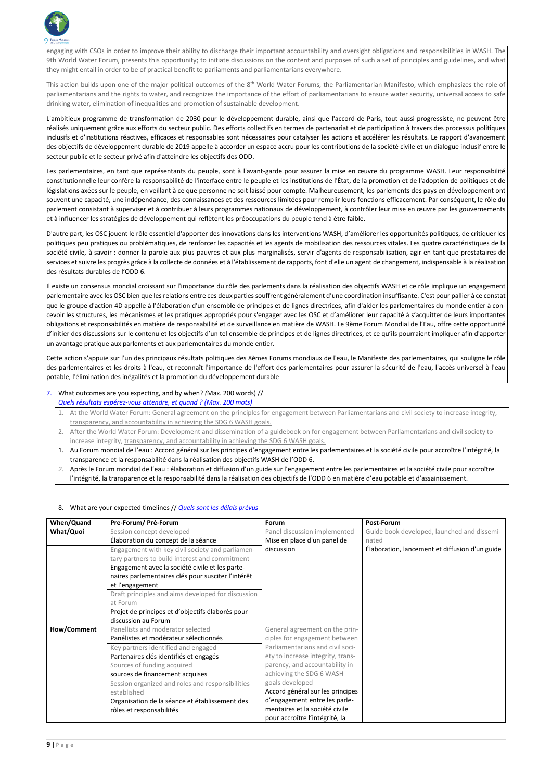

engaging with CSOs in order to improve their ability to discharge their important accountability and oversight obligations and responsibilities in WASH. The 9th World Water Forum, presents this opportunity; to initiate discussions on the content and purposes of such a set of principles and guidelines, and what they might entail in order to be of practical benefit to parliaments and parliamentarians everywhere.

This action builds upon one of the major political outcomes of the 8<sup>th</sup> World Water Forums, the Parliamentarian Manifesto, which emphasizes the role of parliamentarians and the rights to water, and recognizes the importance of the effort of parliamentarians to ensure water security, universal access to safe drinking water, elimination of inequalities and promotion of sustainable development.

L'ambitieux programme de transformation de 2030 pour le développement durable, ainsi que l'accord de Paris, tout aussi progressiste, ne peuvent être réalisés uniquement grâce aux efforts du secteur public. Des efforts collectifs en termes de partenariat et de participation à travers des processus politiques inclusifs et d'institutions réactives, efficaces et responsables sont nécessaires pour catalyser les actions et accélérer les résultats. Le rapport d'avancement des objectifs de développement durable de 2019 appelle à accorder un espace accru pour les contributions de la société civile et un dialogue inclusif entre le secteur public et le secteur privé afin d'atteindre les objectifs des ODD.

Les parlementaires, en tant que représentants du peuple, sont à l'avant-garde pour assurer la mise en œuvre du programme WASH. Leur responsabilité constitutionnelle leur confère la responsabilité de l'interface entre le peuple et les institutions de l'État, de la promotion et de l'adoption de politiques et de législations axées sur le peuple, en veillant à ce que personne ne soit laissé pour compte. Malheureusement, les parlements des pays en développement ont souvent une capacité, une indépendance, des connaissances et des ressources limitées pour remplir leurs fonctions efficacement. Par conséquent, le rôle du parlement consistant à superviser et à contribuer à leurs programmes nationaux de développement, à contrôler leur mise en œuvre par les gouvernements et à influencer les stratégies de développement qui reflètent les préoccupations du peuple tend à être faible.

- 2. After the World Water Forum: Development and dissemination of a guidebook on for engagement between Parliamentarians and civil society to increase integrity, transparency, and accountability in achieving the SDG 6 WASH goals.
- 1. Au Forum mondial de l'eau : Accord général sur les principes d'engagement entre les parlementaires et la société civile pour accroître l'intégrité, la transparence et la responsabilité dans la réalisation des objectifs WASH de l'ODD 6.
- *2.* Après le Forum mondial de l'eau : élaboration et diffusion d'un guide sur l'engagement entre les parlementaires et la société civile pour accroître l'intégrité, la transparence et la responsabilité dans la réalisation des objectifs de l'ODD 6 en matière d'eau potable et d'assainissement.

D'autre part, les OSC jouent le rôle essentiel d'apporter des innovations dans les interventions WASH, d'améliorer les opportunités politiques, de critiquer les politiques peu pratiques ou problématiques, de renforcer les capacités et les agents de mobilisation des ressources vitales. Les quatre caractéristiques de la société civile, à savoir : donner la parole aux plus pauvres et aux plus marginalisés, servir d'agents de responsabilisation, agir en tant que prestataires de services et suivre les progrès grâce à la collecte de données et à l'établissement de rapports, font d'elle un agent de changement, indispensable à la réalisation des résultats durables de l'ODD 6.

Il existe un consensus mondial croissant sur l'importance du rôle des parlements dans la réalisation des objectifs WASH et ce rôle implique un engagement parlementaire avec les OSC bien que les relations entre ces deux parties souffrent généralement d'une coordination insuffisante. C'est pour pallier à ce constat que le groupe d'action 4D appelle à l'élaboration d'un ensemble de principes et de lignes directrices, afin d'aider les parlementaires du monde entier à concevoir les structures, les mécanismes et les pratiques appropriés pour s'engager avec les OSC et d'améliorer leur capacité à s'acquitter de leurs importantes obligations et responsabilités en matière de responsabilité et de surveillance en matière de WASH. Le 9ème Forum Mondial de l'Eau, offre cette opportunité d'initier des discussions sur le contenu et les objectifs d'un tel ensemble de principes et de lignes directrices, et ce qu'ils pourraient impliquer afin d'apporter un avantage pratique aux parlements et aux parlementaires du monde entier.

Cette action s'appuie sur l'un des principaux résultats politiques des 8èmes Forums mondiaux de l'eau, le Manifeste des parlementaires, qui souligne le rôle des parlementaires et les droits à l'eau, et reconnaît l'importance de l'effort des parlementaires pour assurer la sécurité de l'eau, l'accès universel à l'eau potable, l'élimination des inégalités et la promotion du développement durable

## 7. What outcomes are you expecting, and by when? *(*Max. 200 words) // *Quels résultats espérez-vous attendre, et quand ? (Max. 200 mots)*

1. At the World Water Forum: General agreement on the principles for engagement between Parliamentarians and civil society to increase integrity, transparency, and accountability in achieving the SDG 6 WASH goals.

### 8. What are your expected timelines // *Quels sont les délais prévus*

| When/Quand | Pre-Forum/ Pré-Forum                               | <b>Forum</b>                 | Post-Forum                                     |
|------------|----------------------------------------------------|------------------------------|------------------------------------------------|
| What/Quoi  | Session concept developed                          | Panel discussion implemented | Guide book developed, launched and dissemi-    |
|            | Élaboration du concept de la séance                | Mise en place d'un panel de  | nated                                          |
|            | Engagement with key civil society and parliamen-   | discussion                   | Élaboration, lancement et diffusion d'un guide |
|            | tary partners to build interest and commitment     |                              |                                                |
|            | Engagement avec la société civile et les parte-    |                              |                                                |
|            | naires parlementaires clés pour susciter l'intérêt |                              |                                                |
|            | et l'engagement                                    |                              |                                                |

|             | Draft principles and aims developed for discussion |                                   |  |
|-------------|----------------------------------------------------|-----------------------------------|--|
|             | at Forum                                           |                                   |  |
|             | Projet de principes et d'objectifs élaborés pour   |                                   |  |
|             | discussion au Forum                                |                                   |  |
| How/Comment | Panellists and moderator selected                  | General agreement on the prin-    |  |
|             | Panélistes et modérateur sélectionnés              | ciples for engagement between     |  |
|             | Key partners identified and engaged                | Parliamentarians and civil soci-  |  |
|             | Partenaires clés identifiés et engagés             | ety to increase integrity, trans- |  |
|             | Sources of funding acquired                        | parency, and accountability in    |  |
|             | sources de financement acquises                    | achieving the SDG 6 WASH          |  |
|             | Session organized and roles and responsibilities   | goals developed                   |  |
|             | established                                        | Accord général sur les principes  |  |
|             | Organisation de la séance et établissement des     | d'engagement entre les parle-     |  |
|             | rôles et responsabilités                           | mentaires et la société civile    |  |
|             |                                                    | pour accroître l'intégrité, la    |  |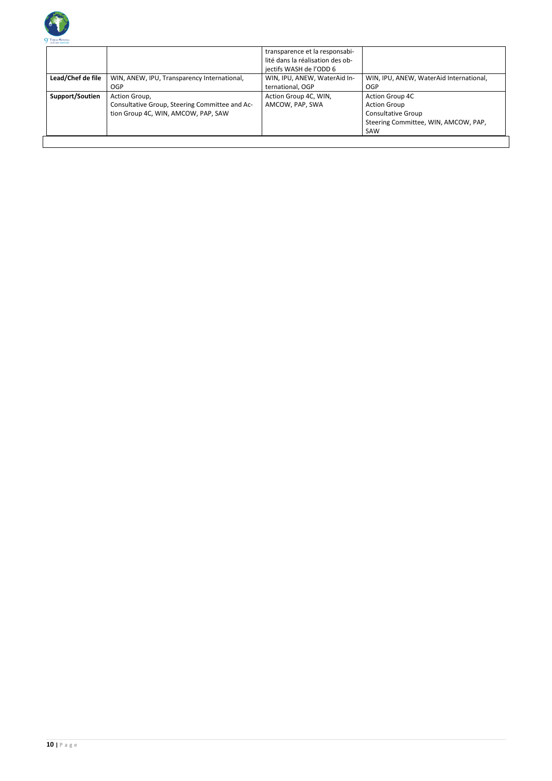

|                   |                                                | transparence et la responsabi-<br>lité dans la réalisation des ob-<br>jectifs WASH de l'ODD 6 |                                         |
|-------------------|------------------------------------------------|-----------------------------------------------------------------------------------------------|-----------------------------------------|
| Lead/Chef de file | WIN, ANEW, IPU, Transparency International,    | WIN, IPU, ANEW, WaterAid In-                                                                  | WIN, IPU, ANEW, WaterAid International, |
|                   | OGP                                            | ternational, OGP                                                                              | <b>OGP</b>                              |
| Support/Soutien   | Action Group,                                  | Action Group 4C, WIN,                                                                         | <b>Action Group 4C</b>                  |
|                   | Consultative Group, Steering Committee and Ac- | AMCOW, PAP, SWA                                                                               | <b>Action Group</b>                     |
|                   | tion Group 4C, WIN, AMCOW, PAP, SAW            |                                                                                               | <b>Consultative Group</b>               |
|                   |                                                |                                                                                               | Steering Committee, WIN, AMCOW, PAP,    |
|                   |                                                |                                                                                               | SAW                                     |
|                   |                                                |                                                                                               |                                         |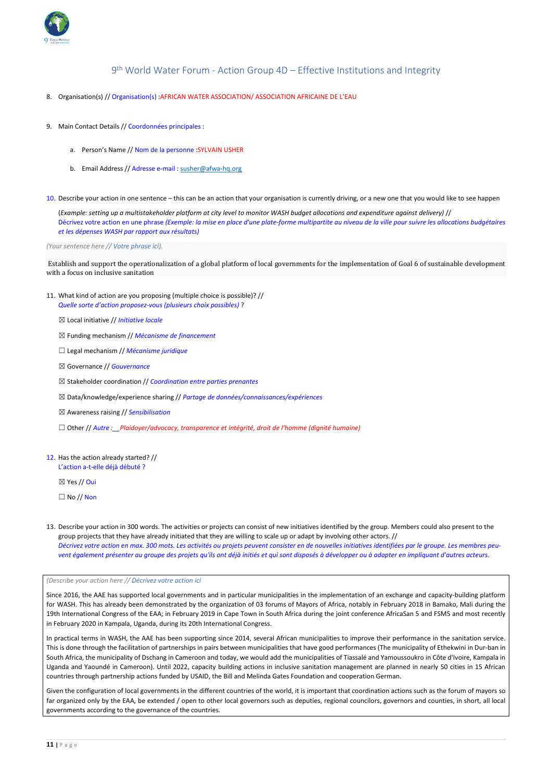

9 th World Water Forum - Action Group 4D – Effective Institutions and Integrity

- 8. Organisation(s) // Organisation(s) : AFRICAN WATER ASSOCIATION/ ASSOCIATION AFRICAINE DE L'EAU
- 9. Main Contact Details // Coordonnées principales :
	- a. Person's Name // Nom de la personne :SYLVAIN USHER
	- b. Email Address // Adresse e-mail : [susher@afwa-hq.org](mailto:susher@afwa-hq.org)

10. Describe your action in one sentence – this can be an action that your organisation is currently driving, or a new one that you would like to see happen

(*Example: setting up a multistakeholder platform at city level to monitor WASH budget allocations and expenditure against delivery)* // Décrivez votre action en une phrase *(Exemple: la mise en place d'une plate-forme multipartite au niveau de la ville pour suivre les allocations budgétaires et les dépenses WASH par rapport aux résultats)* 

*(Your sentence here // Votre phrase ici).*

Establish and support the operationalization of a global platform of local governments for the implementation of Goal 6 of sustainable development with a focus on inclusive sanitation

- 11. What kind of action are you proposing (multiple choice is possible)? // *Quelle sorte d'action proposez-vous (plusieurs choix possibles)* ?
	- ☒ Local initiative // *Initiative locale*
	- ☒ Funding mechanism // *Mécanisme de financement*
	- ☐ Legal mechanism // *Mécanisme juridique*
	- ☒ Governance // *Gouvernance*
	- ☒ Stakeholder coordination // *Coordination entre parties prenantes*
	- ☒ Data/knowledge/experience sharing // *Partage de données/connaissances/expériences*
	- ☒ Awareness raising // *Sensibilisation*
	- ☐ Other // *Autre :\_\_Plaidoyer/advocacy, transparence et intégrité, droit de l'homme (dignité humaine)*

### 12. Has the action already started? // L'action a-t-elle déjà débuté ?

 $\boxtimes$  Yes // Oui

 $\Box$  No // Non

13. Describe your action in 300 words. The activities or projects can consist of new initiatives identified by the group. Members could also present to the group projects that they have already initiated that they are willing to scale up or adapt by involving other actors. // *Décrivez votre action en max. 300 mots. Les activités ou projets peuvent consister en de nouvelles initiatives identifiées par le groupe. Les membres peuvent également présenter au groupe des projets qu'ils ont déjà initiés et qui sont disposés à développer ou à adapter en impliquant d'autres acteurs.*

Since 2016, the AAE has supported local governments and in particular municipalities in the implementation of an exchange and capacity-building platform for WASH. This has already been demonstrated by the organization of 03 forums of Mayors of Africa, notably in February 2018 in Bamako, Mali during the 19th International Congress of the EAA; in February 2019 in Cape Town in South Africa during the joint conference AfricaSan 5 and FSM5 and most recently in February 2020 in Kampala, Uganda, during its 20th International Congress.

In practical terms in WASH, the AAE has been supporting since 2014, several African municipalities to improve their performance in the sanitation service. This is done through the facilitation of partnerships in pairs between municipalities that have good performances (The municipality of Ethekwini in Dur-ban in South Africa, the municipality of Dschang in Cameroon and today, we would add the municipalities of Tiassalé and Yamoussoukro in Côte d'Ivoire, Kampala in Uganda and Yaoundé in Cameroon). Until 2022, capacity building actions in inclusive sanitation management are planned in nearly 50 cities in 15 African countries through partnership actions funded by USAID, the Bill and Melinda Gates Foundation and cooperation German.

Given the configuration of local governments in the different countries of the world, it is important that coordination actions such as the forum of mayors so far organized only by the EAA, be extended / open to other local governors such as deputies, regional councilors, governors and counties, in short, all local governments according to the governance of the countries.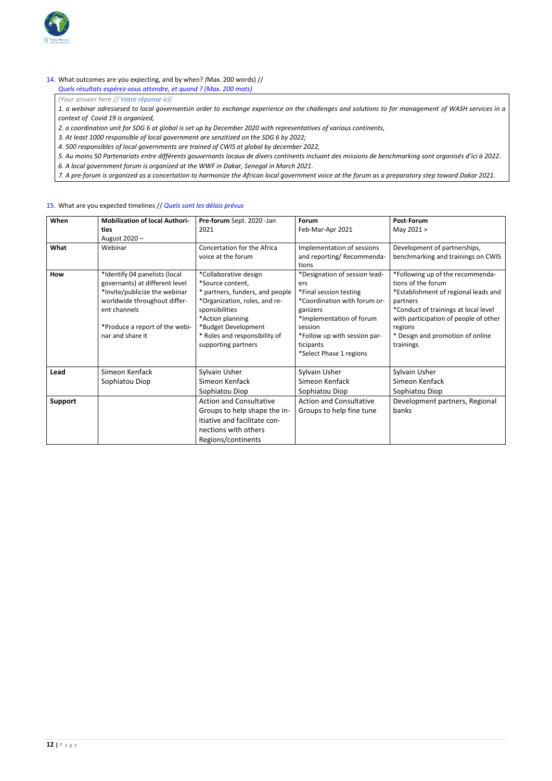

#### 14. What outcomes are you expecting, and by when? *(*Max. 200 words) //

*Quels résultats espérez-vous attendre, et quand ? (Max. 200 mots)*

*(Your answer here // Votre réponse ici)* 

*1. a webinar adressesed to local governantsin order to exchange experience on the challenges and solutions to for management of WASH services in a context of Covid 19 is organized,*

*2. a coordination unit for SDG 6 at global is set up by December 2020 with representatives of various continents,*

*3. At least 1000 responsible of local government are senzitized on the SDG 6 by 2022;*

*4. 500 responsibles of local governments are trained of CWIS at global by december 2022,*

*5. Au moins 50 Partenariats entre différents gouvernants locaux de divers continents incluant des missions de benchmarking sont organisés d'ici à 2022.*

*6. A local government forum is organized at the WWF in Dakar, Senegal in March 2021.*

*7. A pre-forum is organized as a concertation to harmonize the African local government voice at the forum as a preparatory step toward Dakar 2021.*

### 15. What are you expected timelines // *Quels sont les délais prévus*

| When           | <b>Mobilization of local Authori-</b> | Pre-forum Sept. 2020 -Jan       | Forum                          | <b>Post-Forum</b>                     |
|----------------|---------------------------------------|---------------------------------|--------------------------------|---------------------------------------|
|                | ties                                  | 2021                            | Feb-Mar-Apr 2021               | May 2021 >                            |
|                | August 2020-                          |                                 |                                |                                       |
| What           | Webinar                               | Concertation for the Africa     | Implementation of sessions     | Development of partnerships,          |
|                |                                       | voice at the forum              | and reporting/ Recommenda-     | benchmarking and trainings on CWIS    |
|                |                                       |                                 | tions                          |                                       |
| How            | *Identify 04 panelists (local         | *Collaborative design           | *Designation of session lead-  | *Following up of the recommenda-      |
|                | governants) at different level        | *Source content,                | ers                            | tions of the forum                    |
|                | *Invite/publicize the webinar         | * partners, funders, and people | *Final session testing         | *Establishment of regional leads and  |
|                | worldwide throughout differ-          | *Organization, roles, and re-   | *Coordination with forum or-   | partners                              |
|                | ent channels                          | sponsibilities                  | ganizers                       | *Conduct of trainings at local level  |
|                |                                       | *Action planning                | *Implementation of forum       | with participation of people of other |
|                | *Produce a report of the webi-        | *Budget Development             | session                        | regions                               |
|                | nar and share it                      | * Roles and responsibility of   | *Follow up with session par-   | * Design and promotion of online      |
|                |                                       | supporting partners             | ticipants                      | trainings                             |
|                |                                       |                                 | *Select Phase 1 regions        |                                       |
|                |                                       |                                 |                                |                                       |
| Lead           | Simeon Kenfack                        | Sylvain Usher                   | Sylvain Usher                  | Sylvain Usher                         |
|                | Sophiatou Diop                        | Simeon Kenfack                  | Simeon Kenfack                 | Simeon Kenfack                        |
|                |                                       | Sophiatou Diop                  | Sophiatou Diop                 | Sophiatou Diop                        |
| <b>Support</b> |                                       | <b>Action and Consultative</b>  | <b>Action and Consultative</b> | Development partners, Regional        |
|                |                                       | Groups to help shape the in-    | Groups to help fine tune       | banks                                 |
|                |                                       | itiative and facilitate con-    |                                |                                       |
|                |                                       | nections with others            |                                |                                       |
|                |                                       | Regions/continents              |                                |                                       |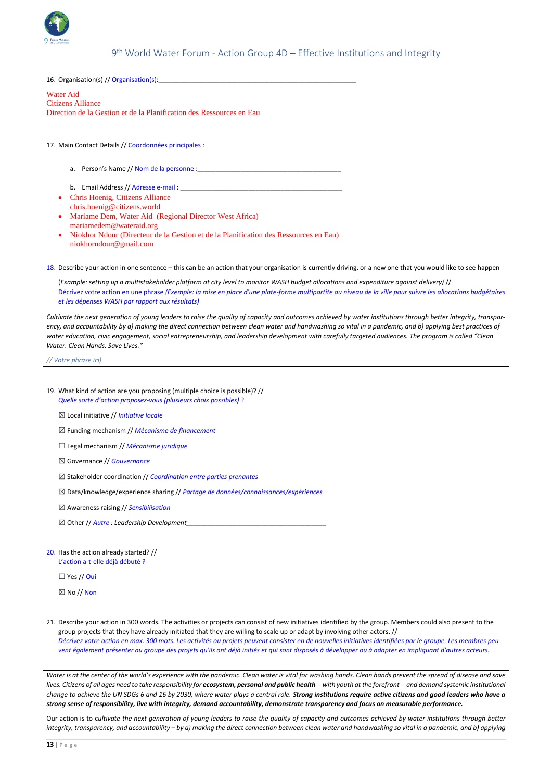

# 9 th World Water Forum - Action Group 4D – Effective Institutions and Integrity

16. Organisation(s) // Organisation(s):\_\_\_\_\_\_\_\_\_\_\_\_\_\_\_\_\_\_\_\_\_\_\_\_\_\_\_\_\_\_\_\_\_\_\_\_\_\_\_\_\_\_\_\_\_\_\_\_\_\_\_\_\_\_\_

Water Aid Citizens Alliance Direction de la Gestion et de la Planification des Ressources en Eau

#### 17. Main Contact Details // Coordonnées principales :

- a. Person's Name // Nom de la personne :
- b. Email Address // Adresse e-mail : \_\_\_\_\_\_\_\_\_\_\_\_\_\_\_\_\_\_\_\_\_\_\_\_\_\_\_\_\_\_\_\_\_\_\_\_\_\_\_\_\_\_\_\_\_
- Chris Hoenig, Citizens Alliance chris.hoenig@citizens.world
- Mariame Dem, Water Aid (Regional Director West Africa) mariamedem@wateraid.org
- Niokhor Ndour (Directeur de la Gestion et de la Planification des Ressources en Eau) niokhorndour@gmail.com

18. Describe your action in one sentence – this can be an action that your organisation is currently driving, or a new one that you would like to see happen

(*Example: setting up a multistakeholder platform at city level to monitor WASH budget allocations and expenditure against delivery)* // Décrivez votre action en une phrase *(Exemple: la mise en place d'une plate-forme multipartite au niveau de la ville pour suivre les allocations budgétaires et les dépenses WASH par rapport aux résultats)* 

*Cultivate the next generation of young leaders to raise the quality of capacity and outcomes achieved by water institutions through better integrity, transparency, and accountability by a) making the direct connection between clean water and handwashing so vital in a pandemic, and b) applying best practices of water education, civic engagement, social entrepreneurship, and leadership development with carefully targeted audiences. The program is called "Clean Water. Clean Hands. Save Lives."* 

*// Votre phrase ici)*

- 19. What kind of action are you proposing (multiple choice is possible)? // *Quelle sorte d'action proposez-vous (plusieurs choix possibles)* ?
	- ☒ Local initiative // *Initiative locale*
	- ☒ Funding mechanism // *Mécanisme de financement*
	- ☐ Legal mechanism // *Mécanisme juridique*
	- ☒ Governance // *Gouvernance*
	- ☒ Stakeholder coordination // *Coordination entre parties prenantes*
	- ☒ Data/knowledge/experience sharing // *Partage de données/connaissances/expériences*
	- ☒ Awareness raising // *Sensibilisation*
	- $\boxtimes$  Other *// Autre : Leadership Development*
- 20. Has the action already started? // L'action a-t-elle déjà débuté ?

 $\Box$  Yes // Oui

#### $\boxtimes$  No // Non

21. Describe your action in 300 words. The activities or projects can consist of new initiatives identified by the group. Members could also present to the group projects that they have already initiated that they are willing to scale up or adapt by involving other actors. // *Décrivez votre action en max. 300 mots. Les activités ou projets peuvent consister en de nouvelles initiatives identifiées par le groupe. Les membres peuvent également présenter au groupe des projets qu'ils ont déjà initiés et qui sont disposés à développer ou à adapter en impliquant d'autres acteurs.*

*Water is at the center of the world's experience with the pandemic. Clean water is vital for washing hands. Clean hands prevent the spread of disease and save*  lives. Citizens of all ages need to take responsibility for **ecosystem, personal and public health** -- with youth at the forefront -- and demand systemic institutional *change to achieve the UN SDGs 6 and 16 by 2030, where water plays a central role. Strong institutions require active citizens and good leaders who have a strong sense of responsibility, live with integrity, demand accountability, demonstrate transparency and focus on measurable performance.*

Our action is to c*ultivate the next generation of young leaders to raise the quality of capacity and outcomes achieved by water institutions through better integrity, transparency, and accountability – by a) making the direct connection between clean water and handwashing so vital in a pandemic, and b) applying*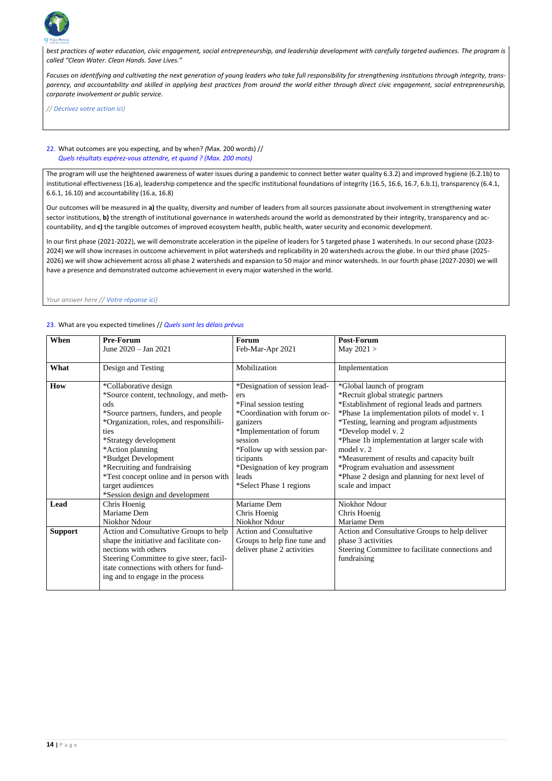

*best practices of water education, civic engagement, social entrepreneurship, and leadership development with carefully targeted audiences. The program is called "Clean Water. Clean Hands. Save Lives."* 

*Focuses on identifying and cultivating the next generation of young leaders who take full responsibility for strengthening institutions through integrity, transparency, and accountability and skilled in applying best practices from around the world either through direct civic engagement, social entrepreneurship, corporate involvement or public service.* 

*// Décrivez votre action ici)*

# 22. What outcomes are you expecting, and by when? *(*Max. 200 words) // *Quels résultats espérez-vous attendre, et quand ? (Max. 200 mots)*

The program will use the heightened awareness of water issues during a pandemic to connect better water quality 6.3.2) and improved hygiene (6.2.1b) to institutional effectiveness (16.a), leadership competence and the specific institutional foundations of integrity (16.5, 16.6, 16.7, 6.b.1), transparency (6.4.1, 6.6.1, 16.10) and accountability (16.a, 16.8)

Our outcomes will be measured in **a)** the quality, diversity and number of leaders from all sources passionate about involvement in strengthening water sector institutions, **b)** the strength of institutional governance in watersheds around the world as demonstrated by their integrity, transparency and accountability, and **c)** the tangible outcomes of improved ecosystem health, public health, water security and economic development.

In our first phase (2021-2022), we will demonstrate acceleration in the pipeline of leaders for 5 targeted phase 1 watersheds. In our second phase (2023- 2024) we will show increases in outcome achievement in pilot watersheds and replicability in 20 watersheds across the globe. In our third phase (2025- 2026) we will show achievement across all phase 2 watersheds and expansion to 50 major and minor watersheds. In our fourth phase (2027-2030) we will have a presence and demonstrated outcome achievement in every major watershed in the world.

*Your answer here // Votre réponse ici)* 

### 23. What are you expected timelines // *Quels sont les délais prévus*

| When           | <b>Pre-Forum</b>                                                                                                                                                                                                                                                                                                                                                        | <b>Forum</b>                                                                                                                                                                                                                                                      | <b>Post-Forum</b>                                                                                                                                                                                                                                                                                                                                                                                                                                               |
|----------------|-------------------------------------------------------------------------------------------------------------------------------------------------------------------------------------------------------------------------------------------------------------------------------------------------------------------------------------------------------------------------|-------------------------------------------------------------------------------------------------------------------------------------------------------------------------------------------------------------------------------------------------------------------|-----------------------------------------------------------------------------------------------------------------------------------------------------------------------------------------------------------------------------------------------------------------------------------------------------------------------------------------------------------------------------------------------------------------------------------------------------------------|
|                | June 2020 - Jan 2021                                                                                                                                                                                                                                                                                                                                                    | Feb-Mar-Apr 2021                                                                                                                                                                                                                                                  | May $2021 >$                                                                                                                                                                                                                                                                                                                                                                                                                                                    |
| What           | Design and Testing                                                                                                                                                                                                                                                                                                                                                      | Mobilization                                                                                                                                                                                                                                                      | Implementation                                                                                                                                                                                                                                                                                                                                                                                                                                                  |
| How            | *Collaborative design<br>*Source content, technology, and meth-<br>ods<br>*Source partners, funders, and people<br>*Organization, roles, and responsibili-<br>ties<br>*Strategy development<br>*Action planning<br>*Budget Development<br>*Recruiting and fundraising<br>*Test concept online and in person with<br>target audiences<br>*Session design and development | *Designation of session lead-<br>ers<br>*Final session testing<br>*Coordination with forum or-<br>ganizers<br>*Implementation of forum<br>session<br>*Follow up with session par-<br>ticipants<br>*Designation of key program<br>leads<br>*Select Phase 1 regions | *Global launch of program<br>*Recruit global strategic partners<br>*Establishment of regional leads and partners<br>*Phase 1a implementation pilots of model v. 1<br>*Testing, learning and program adjustments<br>*Develop model v. 2<br>*Phase 1b implementation at larger scale with<br>model v. 2<br>*Measurement of results and capacity built<br>*Program evaluation and assessment<br>*Phase 2 design and planning for next level of<br>scale and impact |
| Lead           | Chris Hoenig<br>Mariame Dem<br>Niokhor Ndour                                                                                                                                                                                                                                                                                                                            | Mariame Dem<br>Chris Hoenig<br>Niokhor Ndour                                                                                                                                                                                                                      | <b>Niokhor Ndour</b><br>Chris Hoenig<br>Mariame Dem                                                                                                                                                                                                                                                                                                                                                                                                             |
| <b>Support</b> | Action and Consultative Groups to help<br>shape the initiative and facilitate con-<br>nections with others<br>Steering Committee to give steer, facil-<br>itate connections with others for fund-<br>ing and to engage in the process                                                                                                                                   | <b>Action and Consultative</b><br>Groups to help fine tune and<br>deliver phase 2 activities                                                                                                                                                                      | Action and Consultative Groups to help deliver<br>phase 3 activities<br>Steering Committee to facilitate connections and<br>fundraising                                                                                                                                                                                                                                                                                                                         |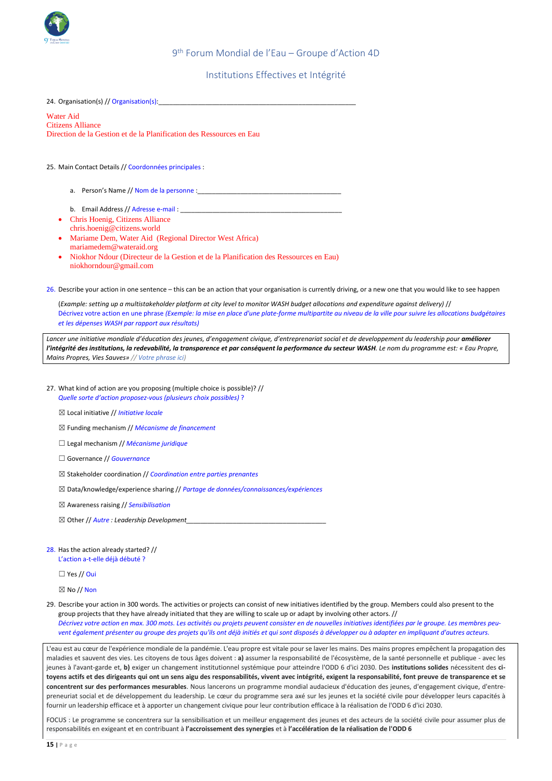

9 th Forum Mondial de l'Eau – Groupe d'Action 4D

# Institutions Effectives et Intégrité

24. Organisation(s) // Organisation(s):\_\_\_\_\_\_\_\_\_\_\_\_\_\_\_\_\_\_\_\_\_\_\_\_\_\_\_\_\_\_\_\_\_\_\_\_\_\_\_\_\_\_\_\_\_\_\_\_\_\_\_\_\_\_\_

Water Aid Citizens Alliance Direction de la Gestion et de la Planification des Ressources en Eau

25. Main Contact Details // Coordonnées principales :

- a. Person's Name // Nom de la personne :\_\_\_\_\_\_\_\_\_\_\_\_\_\_\_\_\_\_\_\_\_\_\_\_\_\_\_\_\_\_\_\_\_\_\_\_\_\_\_\_
- b. Email Address // Adresse e-mail : \_\_\_\_\_\_\_\_\_\_\_\_\_\_\_\_\_\_\_\_\_\_\_\_\_\_\_\_\_\_\_\_\_\_\_\_\_\_\_\_\_\_\_\_\_
- Chris Hoenig, Citizens Alliance chris.hoenig@citizens.world
- Mariame Dem, Water Aid (Regional Director West Africa) mariamedem@wateraid.org
- Niokhor Ndour (Directeur de la Gestion et de la Planification des Ressources en Eau) niokhorndour@gmail.com

26. Describe your action in one sentence – this can be an action that your organisation is currently driving, or a new one that you would like to see happen

(*Example: setting up a multistakeholder platform at city level to monitor WASH budget allocations and expenditure against delivery)* // Décrivez votre action en une phrase *(Exemple: la mise en place d'une plate-forme multipartite au niveau de la ville pour suivre les allocations budgétaires et les dépenses WASH par rapport aux résultats)* 

*Lancer une initiative mondiale d'éducation des jeunes, d'engagement civique, d'entreprenariat social et de developpement du leadership pour améliorer l'intégrité des institutions, la redevabilité, la transparence et par conséquent la performance du secteur WASH. Le nom du programme est: « Eau Propre, Mains Propres, Vies Sauves» // Votre phrase ici)*

- 27. What kind of action are you proposing (multiple choice is possible)? // *Quelle sorte d'action proposez-vous (plusieurs choix possibles)* ?
	- ☒ Local initiative // *Initiative locale*
	- ☒ Funding mechanism // *Mécanisme de financement*
	- ☐ Legal mechanism // *Mécanisme juridique*
	- ☐ Governance // *Gouvernance*
	- ☒ Stakeholder coordination // *Coordination entre parties prenantes*
	- ☒ Data/knowledge/experience sharing // *Partage de données/connaissances/expériences*
	- ☒ Awareness raising // *Sensibilisation*
	- $\boxtimes$  Other // *Autre* : Leadership Development
- 28. Has the action already started? // L'action a-t-elle déjà débuté ?

 $\Box$  Yes // Oui

 $\boxtimes$  No // Non

29. Describe your action in 300 words. The activities or projects can consist of new initiatives identified by the group. Members could also present to the group projects that they have already initiated that they are willing to scale up or adapt by involving other actors. // *Décrivez votre action en max. 300 mots. Les activités ou projets peuvent consister en de nouvelles initiatives identifiées par le groupe. Les membres peuvent également présenter au groupe des projets qu'ils ont déjà initiés et qui sont disposés à développer ou à adapter en impliquant d'autres acteurs.*

L'eau est au cœur de l'expérience mondiale de la pandémie. L'eau propre est vitale pour se laver les mains. Des mains propres empêchent la propagation des maladies et sauvent des vies. Les citoyens de tous âges doivent : **a)** assumer la responsabilité de l'écosystème, de la santé personnelle et publique - avec les jeunes à l'avant-garde et, **b)** exiger un changement institutionnel systémique pour atteindre l'ODD 6 d'ici 2030. Des **institutions solides** nécessitent des **citoyens actifs et des dirigeants qui ont un sens aigu des responsabilités, vivent avec intégrité, exigent la responsabilité, font preuve de transparence et se concentrent sur des performances mesurables**. Nous lancerons un programme mondial audacieux d'éducation des jeunes, d'engagement civique, d'entrepreneuriat social et de développement du leadership. Le cœur du programme sera axé sur les jeunes et la société civile pour développer leurs capacités à fournir un leadership efficace et à apporter un changement civique pour leur contribution efficace à la réalisation de l'ODD 6 d'ici 2030.

FOCUS : Le programme se concentrera sur la sensibilisation et un meilleur engagement des jeunes et des acteurs de la société civile pour assumer plus de responsabilités en exigeant et en contribuant à **l'accroissement des synergies** et à **l'accélération de la réalisation de l'ODD 6**